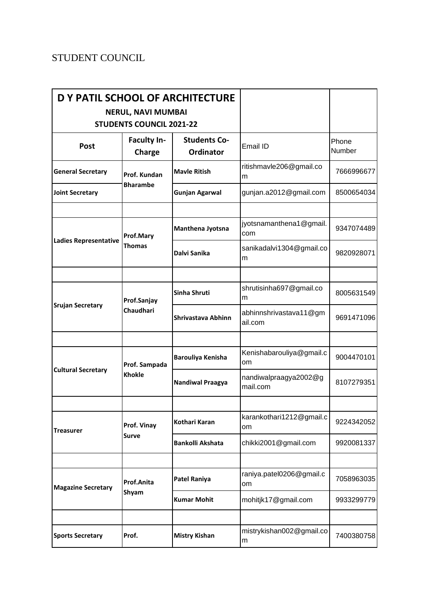## STUDENT COUNCIL

| D Y PATIL SCHOOL OF ARCHITECTURE | <b>NERUL, NAVI MUMBAI</b><br><b>STUDENTS COUNCIL 2021-22</b> |                                         |                                   |                 |
|----------------------------------|--------------------------------------------------------------|-----------------------------------------|-----------------------------------|-----------------|
| Post                             | <b>Faculty In-</b><br>Charge                                 | <b>Students Co-</b><br><b>Ordinator</b> | Email ID                          | Phone<br>Number |
| <b>General Secretary</b>         | Prof. Kundan<br><b>Bharambe</b>                              | <b>Mayle Ritish</b>                     | ritishmavle206@gmail.co<br>m      | 7666996677      |
| <b>Joint Secretary</b>           |                                                              | <b>Gunjan Agarwal</b>                   | gunjan.a2012@gmail.com            | 8500654034      |
| <b>Ladies Representative</b>     | Prof.Mary<br><b>Thomas</b>                                   | Manthena Jyotsna                        | jyotsnamanthena1@gmail.<br>com    | 9347074489      |
|                                  |                                                              | Dalvi Sanika                            | sanikadalvi1304@gmail.co<br>m     | 9820928071      |
|                                  |                                                              |                                         |                                   |                 |
| <b>Srujan Secretary</b>          | Prof.Sanjay<br>Chaudhari                                     | Sinha Shruti                            | shrutisinha697@gmail.co<br>m      | 8005631549      |
|                                  |                                                              | Shrivastava Abhinn                      | abhinnshrivastava11@gm<br>ail.com | 9691471096      |
|                                  |                                                              |                                         |                                   |                 |
| <b>Cultural Secretary</b>        | Prof. Sampada<br><b>Khokle</b>                               | Barouliya Kenisha                       | Kenishabarouliya@gmail.c<br>om    | 9004470101      |
|                                  |                                                              | <b>Nandiwal Praagya</b>                 | nandiwalpraagya2002@g<br>mail.com | 8107279351      |
|                                  |                                                              |                                         |                                   |                 |
| <b>Treasurer</b>                 | Prof. Vinay<br><b>Surve</b>                                  | Kothari Karan                           | karankothari1212@gmail.c<br>om    | 9224342052      |
|                                  |                                                              | <b>Bankolli Akshata</b>                 | chikki2001@gmail.com              | 9920081337      |
|                                  |                                                              |                                         |                                   |                 |
| <b>Magazine Secretary</b>        | Prof.Anita<br>Shyam                                          | <b>Patel Raniya</b>                     | raniya.patel0206@gmail.c<br>om    | 7058963035      |
|                                  |                                                              | <b>Kumar Mohit</b>                      | mohitjk17@gmail.com               | 9933299779      |
|                                  |                                                              |                                         |                                   |                 |
| <b>Sports Secretary</b>          | Prof.                                                        | <b>Mistry Kishan</b>                    | mistrykishan002@gmail.co<br>m     | 7400380758      |